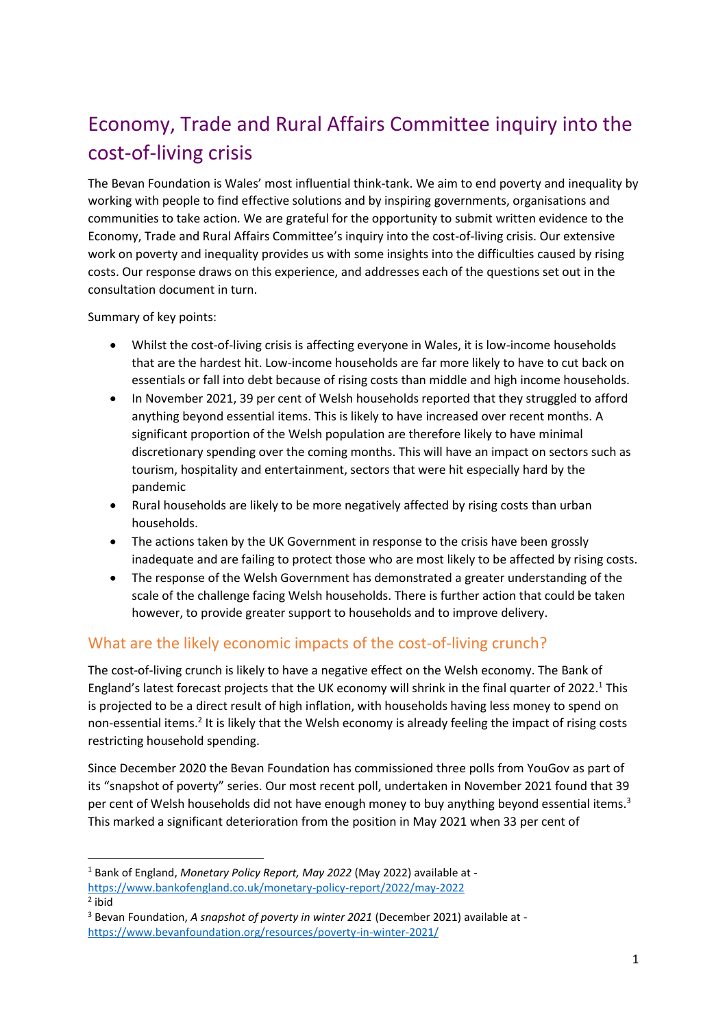# Economy, Trade and Rural Affairs Committee inquiry into the cost-of-living crisis

The Bevan Foundation is Wales' most influential think-tank. We aim to end poverty and inequality by working with people to find effective solutions and by inspiring governments, organisations and communities to take action. We are grateful for the opportunity to submit written evidence to the Economy, Trade and Rural Affairs Committee's inquiry into the cost-of-living crisis. Our extensive work on poverty and inequality provides us with some insights into the difficulties caused by rising costs. Our response draws on this experience, and addresses each of the questions set out in the consultation document in turn.

Summary of key points:

- Whilst the cost-of-living crisis is affecting everyone in Wales, it is low-income households that are the hardest hit. Low-income households are far more likely to have to cut back on essentials or fall into debt because of rising costs than middle and high income households.
- In November 2021, 39 per cent of Welsh households reported that they struggled to afford anything beyond essential items. This is likely to have increased over recent months. A significant proportion of the Welsh population are therefore likely to have minimal discretionary spending over the coming months. This will have an impact on sectors such as tourism, hospitality and entertainment, sectors that were hit especially hard by the pandemic
- Rural households are likely to be more negatively affected by rising costs than urban households.
- The actions taken by the UK Government in response to the crisis have been grossly inadequate and are failing to protect those who are most likely to be affected by rising costs.
- The response of the Welsh Government has demonstrated a greater understanding of the scale of the challenge facing Welsh households. There is further action that could be taken however, to provide greater support to households and to improve delivery.

#### What are the likely economic impacts of the cost-of-living crunch?

The cost-of-living crunch is likely to have a negative effect on the Welsh economy. The Bank of England's latest forecast projects that the UK economy will shrink in the final quarter of 2022.<sup>1</sup> This is projected to be a direct result of high inflation, with households having less money to spend on non-essential items.<sup>2</sup> It is likely that the Welsh economy is already feeling the impact of rising costs restricting household spending.

Since December 2020 the Bevan Foundation has commissioned three polls from YouGov as part of its "snapshot of poverty" series. Our most recent poll, undertaken in November 2021 found that 39 per cent of Welsh households did not have enough money to buy anything beyond essential items.<sup>3</sup> This marked a significant deterioration from the position in May 2021 when 33 per cent of

<sup>1</sup> Bank of England, *Monetary Policy Report, May 2022* (May 2022) available at <https://www.bankofengland.co.uk/monetary-policy-report/2022/may-2022> 2 ibid

<sup>3</sup> Bevan Foundation, *A snapshot of poverty in winter 2021* (December 2021) available at <https://www.bevanfoundation.org/resources/poverty-in-winter-2021/>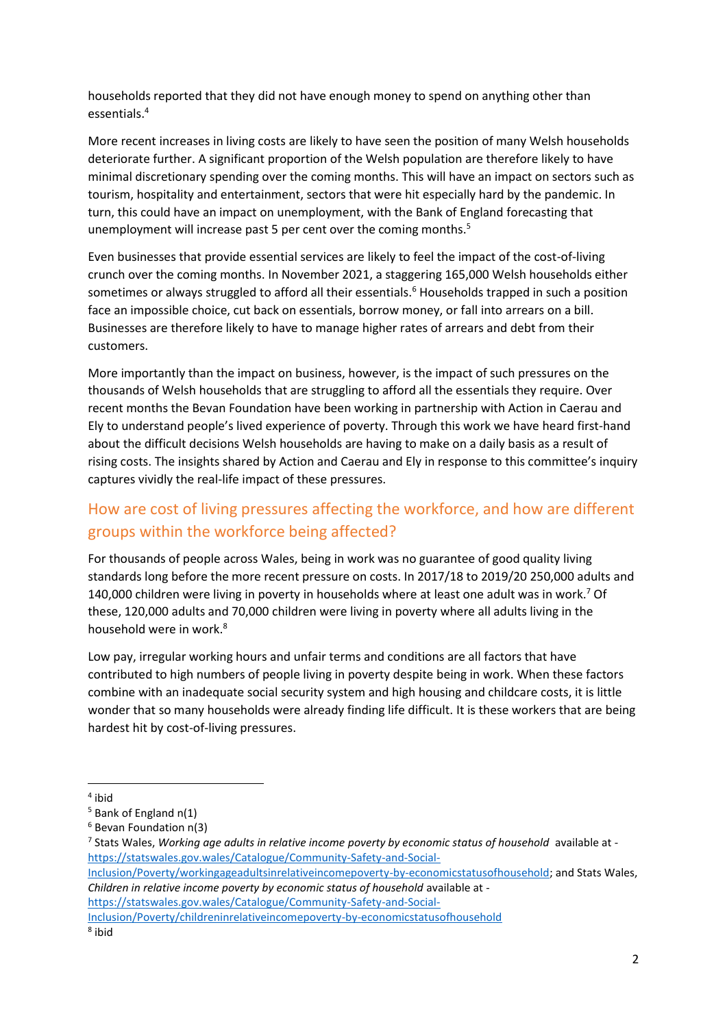households reported that they did not have enough money to spend on anything other than essentials.<sup>4</sup>

More recent increases in living costs are likely to have seen the position of many Welsh households deteriorate further. A significant proportion of the Welsh population are therefore likely to have minimal discretionary spending over the coming months. This will have an impact on sectors such as tourism, hospitality and entertainment, sectors that were hit especially hard by the pandemic. In turn, this could have an impact on unemployment, with the Bank of England forecasting that unemployment will increase past 5 per cent over the coming months.<sup>5</sup>

Even businesses that provide essential services are likely to feel the impact of the cost-of-living crunch over the coming months. In November 2021, a staggering 165,000 Welsh households either sometimes or always struggled to afford all their essentials.<sup>6</sup> Households trapped in such a position face an impossible choice, cut back on essentials, borrow money, or fall into arrears on a bill. Businesses are therefore likely to have to manage higher rates of arrears and debt from their customers.

More importantly than the impact on business, however, is the impact of such pressures on the thousands of Welsh households that are struggling to afford all the essentials they require. Over recent months the Bevan Foundation have been working in partnership with Action in Caerau and Ely to understand people's lived experience of poverty. Through this work we have heard first-hand about the difficult decisions Welsh households are having to make on a daily basis as a result of rising costs. The insights shared by Action and Caerau and Ely in response to this committee's inquiry captures vividly the real-life impact of these pressures.

### How are cost of living pressures affecting the workforce, and how are different groups within the workforce being affected?

For thousands of people across Wales, being in work was no guarantee of good quality living standards long before the more recent pressure on costs. In 2017/18 to 2019/20 250,000 adults and 140,000 children were living in poverty in households where at least one adult was in work.<sup>7</sup> Of these, 120,000 adults and 70,000 children were living in poverty where all adults living in the household were in work.<sup>8</sup>

Low pay, irregular working hours and unfair terms and conditions are all factors that have contributed to high numbers of people living in poverty despite being in work. When these factors combine with an inadequate social security system and high housing and childcare costs, it is little wonder that so many households were already finding life difficult. It is these workers that are being hardest hit by cost-of-living pressures.

[https://statswales.gov.wales/Catalogue/Community-Safety-and-Social-](https://statswales.gov.wales/Catalogue/Community-Safety-and-Social-Inclusion/Poverty/childreninrelativeincomepoverty-by-economicstatusofhousehold)

[Inclusion/Poverty/childreninrelativeincomepoverty-by-economicstatusofhousehold](https://statswales.gov.wales/Catalogue/Community-Safety-and-Social-Inclusion/Poverty/childreninrelativeincomepoverty-by-economicstatusofhousehold)

<sup>4</sup> ibid

 $5$  Bank of England n(1)

<sup>6</sup> Bevan Foundation n(3)

<sup>7</sup> Stats Wales, *Working age adults in relative income poverty by economic status of household* available at [https://statswales.gov.wales/Catalogue/Community-Safety-and-Social-](https://statswales.gov.wales/Catalogue/Community-Safety-and-Social-Inclusion/Poverty/workingageadultsinrelativeincomepoverty-by-economicstatusofhousehold)

[Inclusion/Poverty/workingageadultsinrelativeincomepoverty-by-economicstatusofhousehold;](https://statswales.gov.wales/Catalogue/Community-Safety-and-Social-Inclusion/Poverty/workingageadultsinrelativeincomepoverty-by-economicstatusofhousehold) and Stats Wales, *Children in relative income poverty by economic status of household* available at -

<sup>8</sup> ibid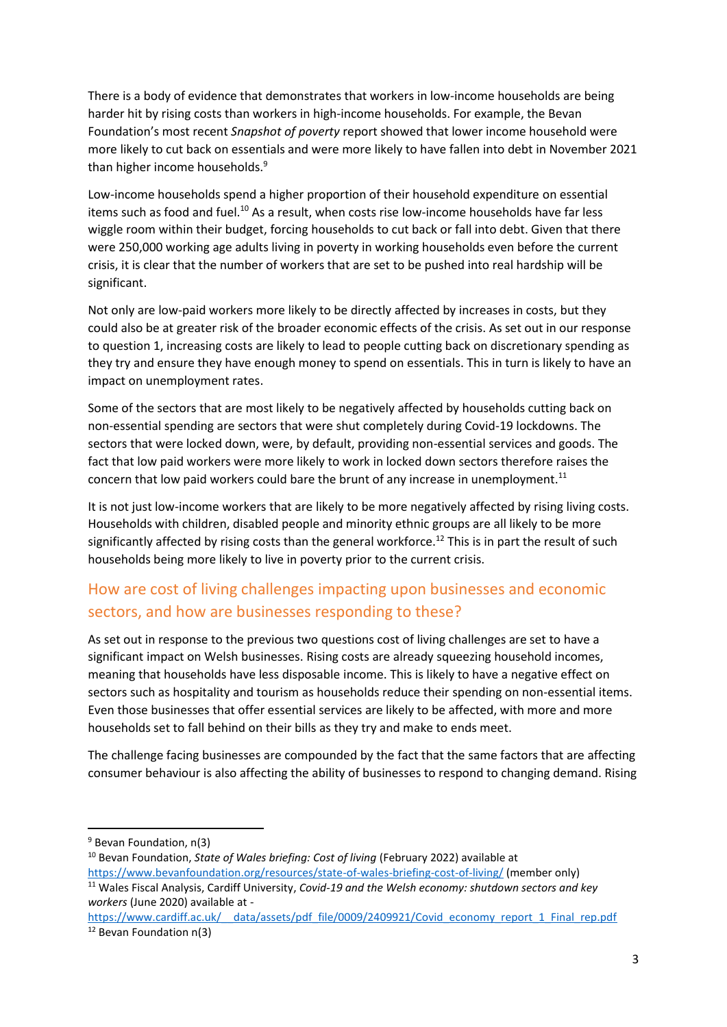There is a body of evidence that demonstrates that workers in low-income households are being harder hit by rising costs than workers in high-income households. For example, the Bevan Foundation's most recent *Snapshot of poverty* report showed that lower income household were more likely to cut back on essentials and were more likely to have fallen into debt in November 2021 than higher income households.<sup>9</sup>

Low-income households spend a higher proportion of their household expenditure on essential items such as food and fuel.<sup>10</sup> As a result, when costs rise low-income households have far less wiggle room within their budget, forcing households to cut back or fall into debt. Given that there were 250,000 working age adults living in poverty in working households even before the current crisis, it is clear that the number of workers that are set to be pushed into real hardship will be significant.

Not only are low-paid workers more likely to be directly affected by increases in costs, but they could also be at greater risk of the broader economic effects of the crisis. As set out in our response to question 1, increasing costs are likely to lead to people cutting back on discretionary spending as they try and ensure they have enough money to spend on essentials. This in turn is likely to have an impact on unemployment rates.

Some of the sectors that are most likely to be negatively affected by households cutting back on non-essential spending are sectors that were shut completely during Covid-19 lockdowns. The sectors that were locked down, were, by default, providing non-essential services and goods. The fact that low paid workers were more likely to work in locked down sectors therefore raises the concern that low paid workers could bare the brunt of any increase in unemployment.<sup>11</sup>

It is not just low-income workers that are likely to be more negatively affected by rising living costs. Households with children, disabled people and minority ethnic groups are all likely to be more significantly affected by rising costs than the general workforce.<sup>12</sup> This is in part the result of such households being more likely to live in poverty prior to the current crisis.

### How are cost of living challenges impacting upon businesses and economic sectors, and how are businesses responding to these?

As set out in response to the previous two questions cost of living challenges are set to have a significant impact on Welsh businesses. Rising costs are already squeezing household incomes, meaning that households have less disposable income. This is likely to have a negative effect on sectors such as hospitality and tourism as households reduce their spending on non-essential items. Even those businesses that offer essential services are likely to be affected, with more and more households set to fall behind on their bills as they try and make to ends meet.

The challenge facing businesses are compounded by the fact that the same factors that are affecting consumer behaviour is also affecting the ability of businesses to respond to changing demand. Rising

<sup>&</sup>lt;sup>9</sup> Bevan Foundation, n(3)

<sup>10</sup> Bevan Foundation, *State of Wales briefing: Cost of living* (February 2022) available at <https://www.bevanfoundation.org/resources/state-of-wales-briefing-cost-of-living/> (member only)

<sup>11</sup> Wales Fiscal Analysis, Cardiff University, *Covid-19 and the Welsh economy: shutdown sectors and key workers* (June 2020) available at -

[https://www.cardiff.ac.uk/\\_\\_data/assets/pdf\\_file/0009/2409921/Covid\\_economy\\_report\\_1\\_Final\\_rep.pdf](https://www.cardiff.ac.uk/__data/assets/pdf_file/0009/2409921/Covid_economy_report_1_Final_rep.pdf) <sup>12</sup> Bevan Foundation n(3)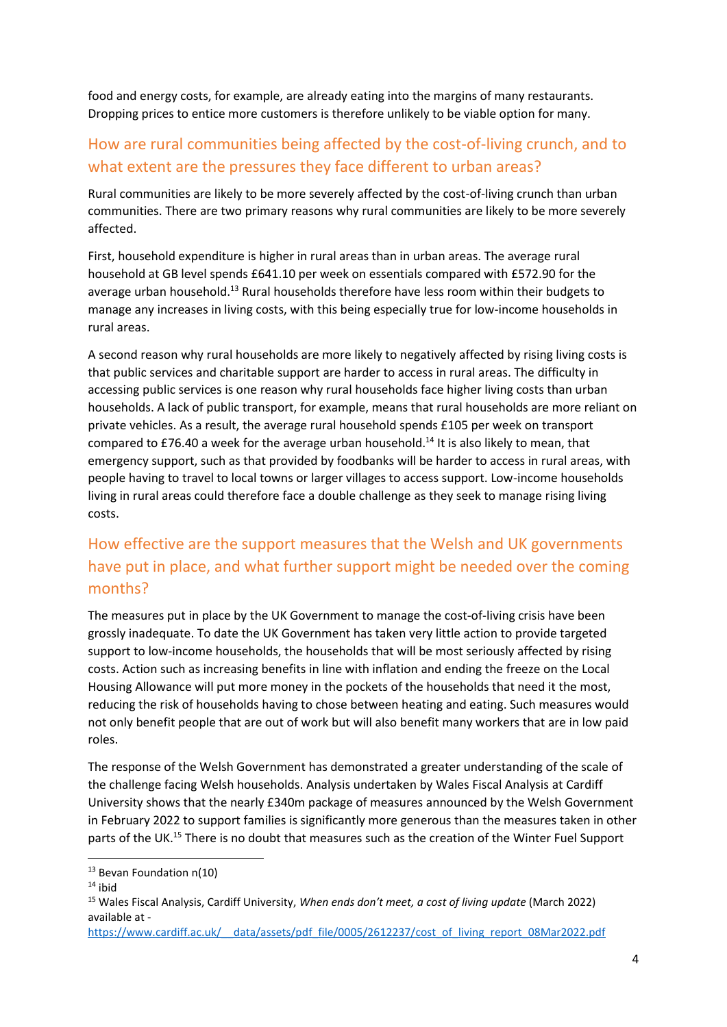food and energy costs, for example, are already eating into the margins of many restaurants. Dropping prices to entice more customers is therefore unlikely to be viable option for many.

## How are rural communities being affected by the cost-of-living crunch, and to what extent are the pressures they face different to urban areas?

Rural communities are likely to be more severely affected by the cost-of-living crunch than urban communities. There are two primary reasons why rural communities are likely to be more severely affected.

First, household expenditure is higher in rural areas than in urban areas. The average rural household at GB level spends £641.10 per week on essentials compared with £572.90 for the average urban household.<sup>13</sup> Rural households therefore have less room within their budgets to manage any increases in living costs, with this being especially true for low-income households in rural areas.

A second reason why rural households are more likely to negatively affected by rising living costs is that public services and charitable support are harder to access in rural areas. The difficulty in accessing public services is one reason why rural households face higher living costs than urban households. A lack of public transport, for example, means that rural households are more reliant on private vehicles. As a result, the average rural household spends £105 per week on transport compared to £76.40 a week for the average urban household.<sup>14</sup> It is also likely to mean, that emergency support, such as that provided by foodbanks will be harder to access in rural areas, with people having to travel to local towns or larger villages to access support. Low-income households living in rural areas could therefore face a double challenge as they seek to manage rising living costs.

# How effective are the support measures that the Welsh and UK governments have put in place, and what further support might be needed over the coming months?

The measures put in place by the UK Government to manage the cost-of-living crisis have been grossly inadequate. To date the UK Government has taken very little action to provide targeted support to low-income households, the households that will be most seriously affected by rising costs. Action such as increasing benefits in line with inflation and ending the freeze on the Local Housing Allowance will put more money in the pockets of the households that need it the most, reducing the risk of households having to chose between heating and eating. Such measures would not only benefit people that are out of work but will also benefit many workers that are in low paid roles.

The response of the Welsh Government has demonstrated a greater understanding of the scale of the challenge facing Welsh households. Analysis undertaken by Wales Fiscal Analysis at Cardiff University shows that the nearly £340m package of measures announced by the Welsh Government in February 2022 to support families is significantly more generous than the measures taken in other parts of the UK.<sup>15</sup> There is no doubt that measures such as the creation of the Winter Fuel Support

<sup>&</sup>lt;sup>13</sup> Bevan Foundation n(10)

 $14$  ibid

<sup>15</sup> Wales Fiscal Analysis, Cardiff University, *When ends don't meet, a cost of living update* (March 2022) available at -

https://www.cardiff.ac.uk/ data/assets/pdf\_file/0005/2612237/cost\_of\_living\_report\_08Mar2022.pdf